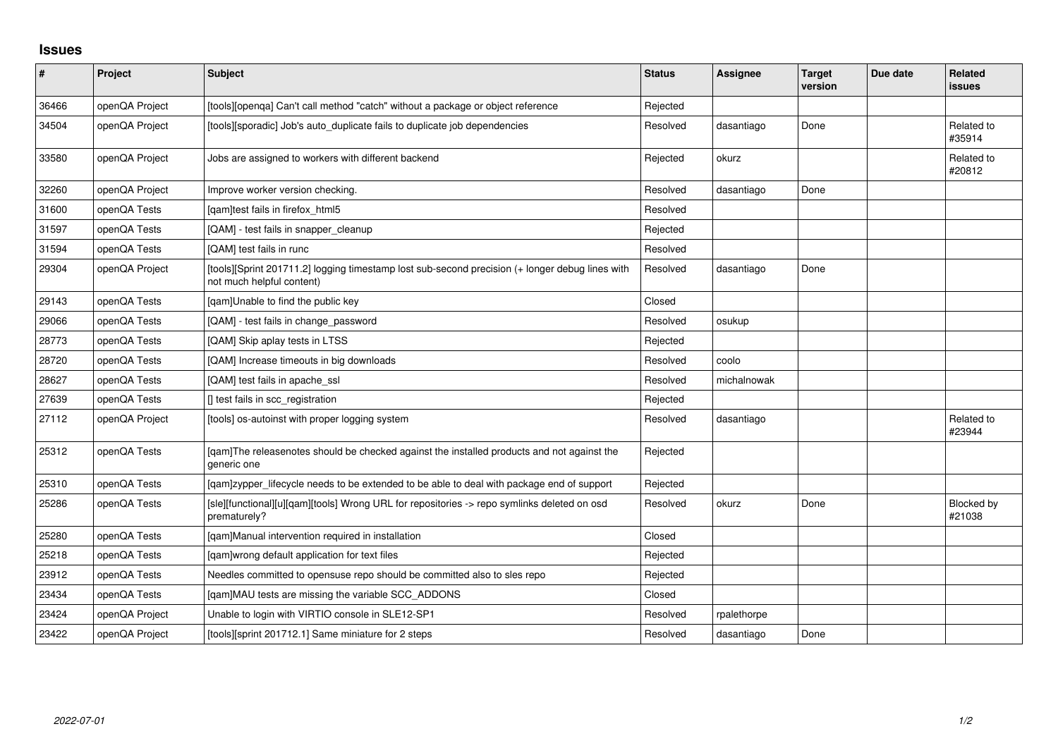## **Issues**

| $\vert$ # | Project        | <b>Subject</b>                                                                                                               | <b>Status</b> | <b>Assignee</b> | <b>Target</b><br>version | Due date | Related<br>issues    |
|-----------|----------------|------------------------------------------------------------------------------------------------------------------------------|---------------|-----------------|--------------------------|----------|----------------------|
| 36466     | openQA Project | [tools][openqa] Can't call method "catch" without a package or object reference                                              | Rejected      |                 |                          |          |                      |
| 34504     | openQA Project | [tools][sporadic] Job's auto_duplicate fails to duplicate job dependencies                                                   | Resolved      | dasantiago      | Done                     |          | Related to<br>#35914 |
| 33580     | openQA Project | Jobs are assigned to workers with different backend                                                                          | Rejected      | okurz           |                          |          | Related to<br>#20812 |
| 32260     | openQA Project | Improve worker version checking.                                                                                             | Resolved      | dasantiago      | Done                     |          |                      |
| 31600     | openQA Tests   | [qam]test fails in firefox_html5                                                                                             | Resolved      |                 |                          |          |                      |
| 31597     | openQA Tests   | [QAM] - test fails in snapper_cleanup                                                                                        | Rejected      |                 |                          |          |                      |
| 31594     | openQA Tests   | [QAM] test fails in runc                                                                                                     | Resolved      |                 |                          |          |                      |
| 29304     | openQA Project | [tools][Sprint 201711.2] logging timestamp lost sub-second precision (+ longer debug lines with<br>not much helpful content) | Resolved      | dasantiago      | Done                     |          |                      |
| 29143     | openQA Tests   | [qam]Unable to find the public key                                                                                           | Closed        |                 |                          |          |                      |
| 29066     | openQA Tests   | [QAM] - test fails in change_password                                                                                        | Resolved      | osukup          |                          |          |                      |
| 28773     | openQA Tests   | [QAM] Skip aplay tests in LTSS                                                                                               | Rejected      |                 |                          |          |                      |
| 28720     | openQA Tests   | [QAM] Increase timeouts in big downloads                                                                                     | Resolved      | coolo           |                          |          |                      |
| 28627     | openQA Tests   | [QAM] test fails in apache_ssl                                                                                               | Resolved      | michalnowak     |                          |          |                      |
| 27639     | openQA Tests   | [] test fails in scc_registration                                                                                            | Rejected      |                 |                          |          |                      |
| 27112     | openQA Project | [tools] os-autoinst with proper logging system                                                                               | Resolved      | dasantiago      |                          |          | Related to<br>#23944 |
| 25312     | openQA Tests   | [gam]The releasenotes should be checked against the installed products and not against the<br>generic one                    | Rejected      |                 |                          |          |                      |
| 25310     | openQA Tests   | [gam]zypper_lifecycle needs to be extended to be able to deal with package end of support                                    | Rejected      |                 |                          |          |                      |
| 25286     | openQA Tests   | [sle][functional][u][qam][tools] Wrong URL for repositories -> repo symlinks deleted on osd<br>prematurely?                  | Resolved      | okurz           | Done                     |          | Blocked by<br>#21038 |
| 25280     | openQA Tests   | [qam]Manual intervention required in installation                                                                            | Closed        |                 |                          |          |                      |
| 25218     | openQA Tests   | [qam]wrong default application for text files                                                                                | Rejected      |                 |                          |          |                      |
| 23912     | openQA Tests   | Needles committed to opensuse repo should be committed also to sles repo                                                     | Rejected      |                 |                          |          |                      |
| 23434     | openQA Tests   | [qam]MAU tests are missing the variable SCC_ADDONS                                                                           | Closed        |                 |                          |          |                      |
| 23424     | openQA Project | Unable to login with VIRTIO console in SLE12-SP1                                                                             | Resolved      | rpalethorpe     |                          |          |                      |
| 23422     | openQA Project | [tools][sprint 201712.1] Same miniature for 2 steps                                                                          | Resolved      | dasantiago      | Done                     |          |                      |